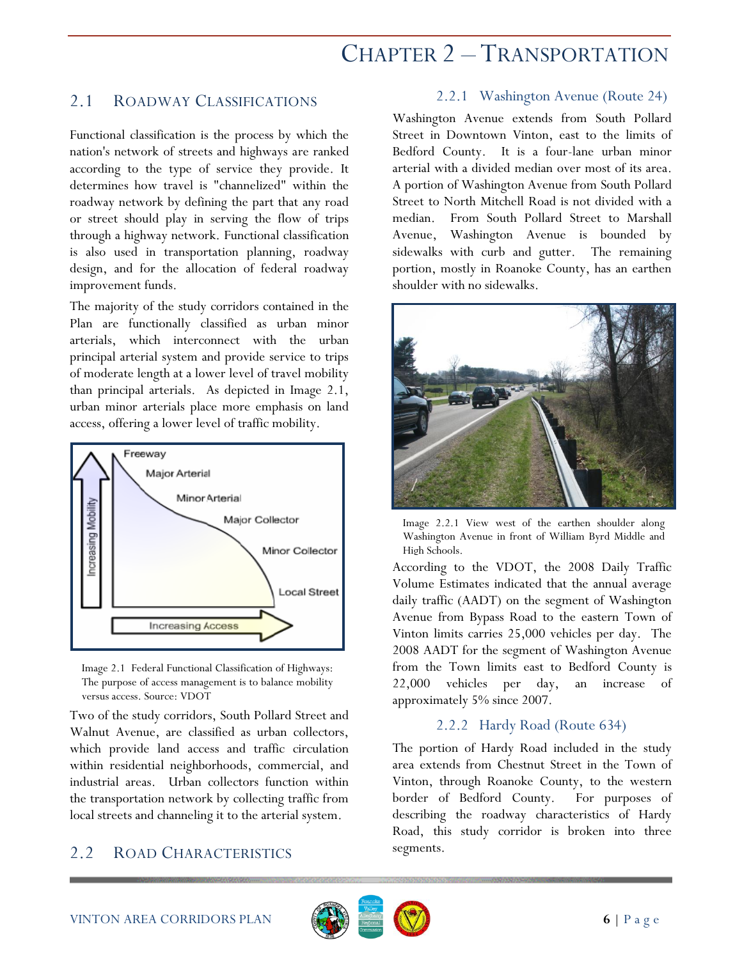# CHAPTER 2 – TRANSPORTATION

# 2.1 ROADWAY CLASSIFICATIONS

Functional classification is the process by which the nation's network of streets and highways are ranked according to the type of service they provide. It determines how travel is "channelized" within the roadway network by defining the part that any road or street should play in serving the flow of trips through a highway network. Functional classification is also used in transportation planning, roadway design, and for the allocation of federal roadway improvement funds.

The majority of the study corridors contained in the Plan are functionally classified as urban minor arterials, which interconnect with the urban principal arterial system and provide service to trips of moderate length at a lower level of travel mobility than principal arterials. As depicted in Image 2.1, urban minor arterials place more emphasis on land access, offering a lower level of traffic mobility.





Two of the study corridors, South Pollard Street and Walnut Avenue, are classified as urban collectors, which provide land access and traffic circulation within residential neighborhoods, commercial, and industrial areas. Urban collectors function within the transportation network by collecting traffic from local streets and channeling it to the arterial system.

# 2.2 ROAD CHARACTERISTICS

#### 2.2.1 Washington Avenue (Route 24)

Washington Avenue extends from South Pollard Street in Downtown Vinton, east to the limits of Bedford County. It is a four-lane urban minor arterial with a divided median over most of its area. A portion of Washington Avenue from South Pollard Street to North Mitchell Road is not divided with a median. From South Pollard Street to Marshall Avenue, Washington Avenue is bounded by sidewalks with curb and gutter. The remaining portion, mostly in Roanoke County, has an earthen shoulder with no sidewalks.



Image 2.2.1 View west of the earthen shoulder along Washington Avenue in front of William Byrd Middle and High Schools.

According to the VDOT, the 2008 Daily Traffic Volume Estimates indicated that the annual average daily traffic (AADT) on the segment of Washington Avenue from Bypass Road to the eastern Town of Vinton limits carries 25,000 vehicles per day. The 2008 AADT for the segment of Washington Avenue from the Town limits east to Bedford County is 22,000 vehicles per day, an increase of approximately 5% since 2007.

#### 2.2.2 Hardy Road (Route 634)

The portion of Hardy Road included in the study area extends from Chestnut Street in the Town of Vinton, through Roanoke County, to the western border of Bedford County. For purposes of describing the roadway characteristics of Hardy Road, this study corridor is broken into three segments.

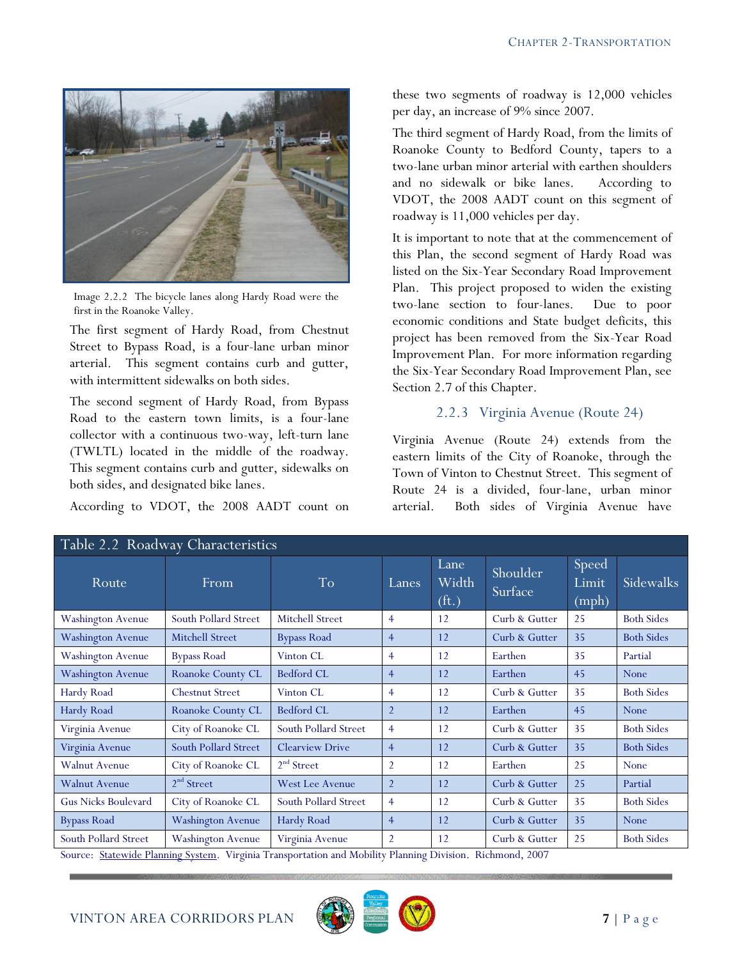

Image 2.2.2 The bicycle lanes along Hardy Road were the first in the Roanoke Valley.

The first segment of Hardy Road, from Chestnut Street to Bypass Road, is a four-lane urban minor arterial. This segment contains curb and gutter, with intermittent sidewalks on both sides.

The second segment of Hardy Road, from Bypass Road to the eastern town limits, is a four-lane collector with a continuous two-way, left-turn lane (TWLTL) located in the middle of the roadway. This segment contains curb and gutter, sidewalks on both sides, and designated bike lanes.

According to VDOT, the 2008 AADT count on

these two segments of roadway is 12,000 vehicles per day, an increase of 9% since 2007.

The third segment of Hardy Road, from the limits of Roanoke County to Bedford County, tapers to a two-lane urban minor arterial with earthen shoulders and no sidewalk or bike lanes. According to VDOT, the 2008 AADT count on this segment of roadway is 11,000 vehicles per day.

It is important to note that at the commencement of this Plan, the second segment of Hardy Road was listed on the Six-Year Secondary Road Improvement Plan. This project proposed to widen the existing two-lane section to four-lanes. Due to poor economic conditions and State budget deficits, this project has been removed from the Six-Year Road Improvement Plan. For more information regarding the Six-Year Secondary Road Improvement Plan, see Section 2.7 of this Chapter.

#### 2.2.3 Virginia Avenue (Route 24)

Virginia Avenue (Route 24) extends from the eastern limits of the City of Roanoke, through the Town of Vinton to Chestnut Street. This segment of Route 24 is a divided, four-lane, urban minor arterial. Both sides of Virginia Avenue have

| Table 2.2 Roadway Characteristics |                          |                        |                |                                    |                     |                         |                   |  |  |
|-----------------------------------|--------------------------|------------------------|----------------|------------------------------------|---------------------|-------------------------|-------------------|--|--|
| Route                             | From                     | T <sub>o</sub>         | Lanes          | Lane<br>Width<br>(f <sub>t</sub> ) | Shoulder<br>Surface | Speed<br>Limit<br>(mph) | Sidewalks         |  |  |
| <b>Washington Avenue</b>          | South Pollard Street     | <b>Mitchell Street</b> | $\overline{4}$ | 12                                 | Curb & Gutter       | 25                      | <b>Both Sides</b> |  |  |
| <b>Washington Avenue</b>          | Mitchell Street          | <b>Bypass Road</b>     | $\overline{4}$ | 12                                 | Curb & Gutter       | 35                      | <b>Both Sides</b> |  |  |
| <b>Washington Avenue</b>          | <b>Bypass Road</b>       | Vinton CL              | $\overline{4}$ | 12                                 | Earthen             | 35                      | Partial           |  |  |
| <b>Washington Avenue</b>          | Roanoke County CL        | <b>Bedford CL</b>      | $\overline{4}$ | 12                                 | Earthen             | 45                      | None              |  |  |
| Hardy Road                        | <b>Chestnut Street</b>   | Vinton CL              | $\overline{4}$ | 12                                 | Curb & Gutter       | 35                      | <b>Both Sides</b> |  |  |
| Hardy Road                        | Roanoke County CL        | Bedford CL             | $\overline{2}$ | 12                                 | Earthen             | 45                      | None              |  |  |
| Virginia Avenue                   | City of Roanoke CL       | South Pollard Street   | $\overline{4}$ | 12                                 | Curb & Gutter       | 35                      | <b>Both Sides</b> |  |  |
| Virginia Avenue                   | South Pollard Street     | <b>Clearview Drive</b> | $\overline{4}$ | 12                                 | Curb & Gutter       | 35                      | <b>Both Sides</b> |  |  |
| <b>Walnut Avenue</b>              | City of Roanoke CL       | $2nd$ Street           | $\overline{2}$ | 12                                 | Earthen             | 25                      | None              |  |  |
| <b>Walnut Avenue</b>              | 2 <sup>nd</sup> Street   | <b>West Lee Avenue</b> | $\overline{2}$ | 12                                 | Curb & Gutter       | 25                      | Partial           |  |  |
| <b>Gus Nicks Boulevard</b>        | City of Roanoke CL       | South Pollard Street   | $\overline{4}$ | 12                                 | Curb & Gutter       | 35                      | <b>Both Sides</b> |  |  |
| <b>Bypass Road</b>                | <b>Washington Avenue</b> | Hardy Road             | $\overline{4}$ | 12                                 | Curb & Gutter       | 35                      | None              |  |  |
| South Pollard Street              | <b>Washington Avenue</b> | Virginia Avenue        | $\overline{2}$ | 12                                 | Curb & Gutter       | 25                      | <b>Both Sides</b> |  |  |

Table 2.2 Roadway Characteristics

Source: Statewide Planning System. Virginia Transportation and Mobility Planning Division. Richmond, 2007

### VINTON AREA CORRIDORS PLAN **EXAMPLE 2** | P a g e

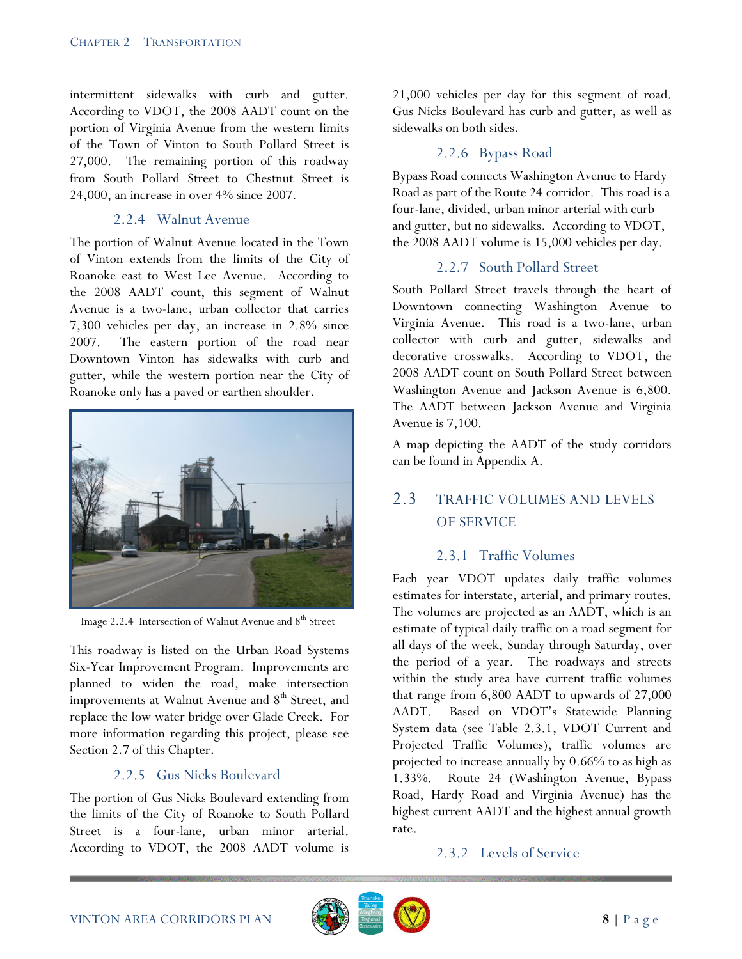intermittent sidewalks with curb and gutter. According to VDOT, the 2008 AADT count on the portion of Virginia Avenue from the western limits of the Town of Vinton to South Pollard Street is 27,000. The remaining portion of this roadway from South Pollard Street to Chestnut Street is 24,000, an increase in over 4% since 2007.

#### 2.2.4 Walnut Avenue

The portion of Walnut Avenue located in the Town of Vinton extends from the limits of the City of Roanoke east to West Lee Avenue. According to the 2008 AADT count, this segment of Walnut Avenue is a two-lane, urban collector that carries 7,300 vehicles per day, an increase in 2.8% since 2007. The eastern portion of the road near Downtown Vinton has sidewalks with curb and gutter, while the western portion near the City of Roanoke only has a paved or earthen shoulder.



Image 2.2.4 Intersection of Walnut Avenue and 8<sup>th</sup> Street

This roadway is listed on the Urban Road Systems Six-Year Improvement Program. Improvements are planned to widen the road, make intersection improvements at Walnut Avenue and  $8<sup>th</sup>$  Street, and replace the low water bridge over Glade Creek. For more information regarding this project, please see Section 2.7 of this Chapter.

#### 2.2.5 Gus Nicks Boulevard

The portion of Gus Nicks Boulevard extending from the limits of the City of Roanoke to South Pollard Street is a four-lane, urban minor arterial. According to VDOT, the 2008 AADT volume is 21,000 vehicles per day for this segment of road. Gus Nicks Boulevard has curb and gutter, as well as sidewalks on both sides.

### 2.2.6 Bypass Road

Bypass Road connects Washington Avenue to Hardy Road as part of the Route 24 corridor. This road is a four-lane, divided, urban minor arterial with curb and gutter, but no sidewalks. According to VDOT, the 2008 AADT volume is 15,000 vehicles per day.

#### 2.2.7 South Pollard Street

South Pollard Street travels through the heart of Downtown connecting Washington Avenue to Virginia Avenue. This road is a two-lane, urban collector with curb and gutter, sidewalks and decorative crosswalks. According to VDOT, the 2008 AADT count on South Pollard Street between Washington Avenue and Jackson Avenue is 6,800. The AADT between Jackson Avenue and Virginia Avenue is 7,100.

A map depicting the AADT of the study corridors can be found in Appendix A.

# 2.3 TRAFFIC VOLUMES AND LEVELS OF SERVICE

#### 2.3.1 Traffic Volumes

Each year VDOT updates daily traffic volumes estimates for interstate, arterial, and primary routes. The volumes are projected as an AADT, which is an estimate of typical daily traffic on a road segment for all days of the week, Sunday through Saturday, over the period of a year. The roadways and streets within the study area have current traffic volumes that range from 6,800 AADT to upwards of 27,000 AADT. Based on VDOT"s Statewide Planning System data (see Table 2.3.1, VDOT Current and Projected Traffic Volumes), traffic volumes are projected to increase annually by 0.66% to as high as 1.33%. Route 24 (Washington Avenue, Bypass Road, Hardy Road and Virginia Avenue) has the highest current AADT and the highest annual growth rate.

#### 2.3.2 Levels of Service

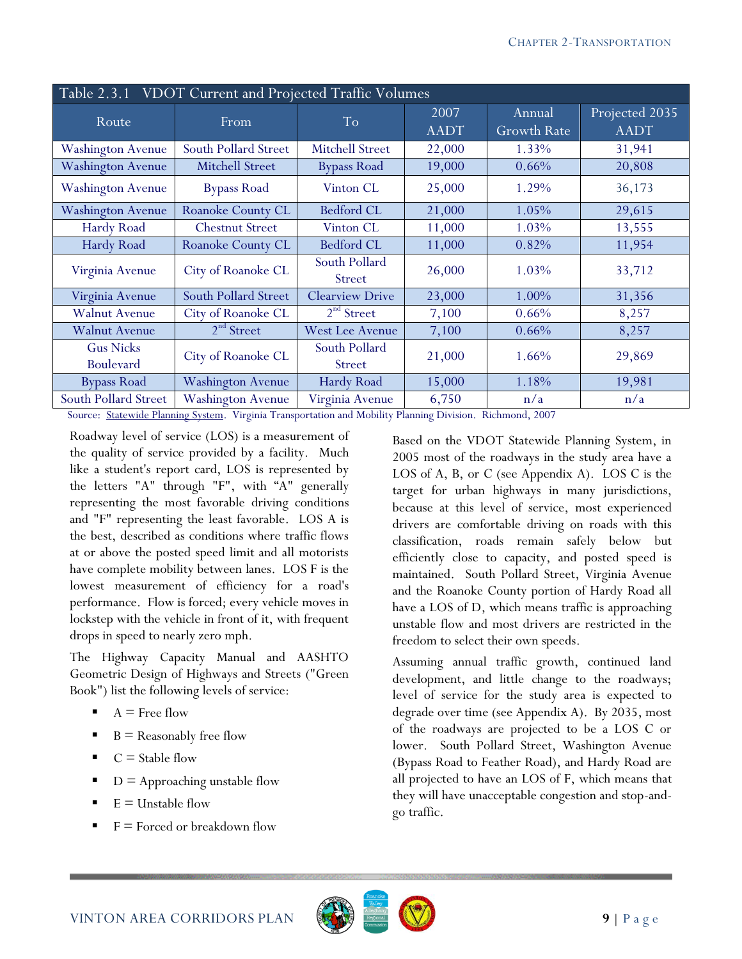| Table 2.3.1 VDOT Current and Projected Traffic Volumes |                          |                         |                     |                              |                               |  |  |  |
|--------------------------------------------------------|--------------------------|-------------------------|---------------------|------------------------------|-------------------------------|--|--|--|
| Route                                                  | From                     | T <sub>o</sub>          | 2007<br><b>AADT</b> | Annual<br><b>Growth Rate</b> | Projected 2035<br><b>AADT</b> |  |  |  |
| <b>Washington Avenue</b>                               | South Pollard Street     | <b>Mitchell Street</b>  | 22,000              | 1.33%                        | 31,941                        |  |  |  |
| <b>Washington Avenue</b>                               | <b>Mitchell Street</b>   | <b>Bypass Road</b>      | 19,000              | 0.66%                        | 20,808                        |  |  |  |
| <b>Washington Avenue</b>                               | <b>Bypass Road</b>       | Vinton CL               | 25,000              | 1.29%                        | 36,173                        |  |  |  |
| <b>Washington Avenue</b>                               | Roanoke County CL        | <b>Bedford CL</b>       | 21,000              | 1.05%                        | 29,615                        |  |  |  |
| Hardy Road                                             | <b>Chestnut Street</b>   | Vinton CL               | 11,000              | 1.03%                        | 13,555                        |  |  |  |
| Hardy Road                                             | <b>Roanoke County CL</b> | <b>Bedford CL</b>       | 11,000              | 0.82%                        | 11,954                        |  |  |  |
| Virginia Avenue                                        | City of Roanoke CL       | South Pollard<br>Street | 26,000              | 1.03%                        | 33,712                        |  |  |  |
| Virginia Avenue                                        | South Pollard Street     | <b>Clearview Drive</b>  | 23,000              | 1.00%                        | 31,356                        |  |  |  |
| <b>Walnut Avenue</b>                                   | City of Roanoke CL       | 2 <sup>nd</sup> Street  | 7,100               | $0.66\%$                     | 8,257                         |  |  |  |
| <b>Walnut Avenue</b>                                   | 2 <sup>nd</sup> Street   | <b>West Lee Avenue</b>  | 7,100               | 0.66%                        | 8,257                         |  |  |  |
| <b>Gus Nicks</b><br><b>Boulevard</b>                   | City of Roanoke CL       | South Pollard<br>Street | 21,000              | 1.66%                        | 29,869                        |  |  |  |
| <b>Bypass Road</b>                                     | <b>Washington Avenue</b> | Hardy Road              | 15,000              | 1.18%                        | 19,981                        |  |  |  |
| South Pollard Street                                   | <b>Washington Avenue</b> | Virginia Avenue         | 6,750               | n/a                          | n/a                           |  |  |  |

Source: Statewide Planning System. Virginia Transportation and Mobility Planning Division. Richmond, 2007

Roadway level of service (LOS) is a measurement of the quality of service provided by a facility. Much like a student's report card, LOS is represented by the letters "A" through "F", with "A" generally representing the most favorable driving conditions and "F" representing the least favorable. LOS A is the best, described as conditions where traffic flows at or above the posted speed limit and all motorists have complete mobility between lanes. LOS F is the lowest measurement of efficiency for a road's performance. Flow is forced; every vehicle moves in lockstep with the vehicle in front of it, with frequent drops in speed to nearly zero mph.

The Highway Capacity Manual and AASHTO Geometric Design of Highways and Streets ("Green Book") list the following levels of service:

- $A$  = Free flow
- $B =$  Reasonably free flow
- $C =$  Stable flow
- $D =$  Approaching unstable flow
- $E =$  Unstable flow
- $F =$  Forced or breakdown flow

Based on the VDOT Statewide Planning System, in 2005 most of the roadways in the study area have a LOS of A, B, or C (see Appendix A). LOS C is the target for urban highways in many jurisdictions, because at this level of service, most experienced drivers are comfortable driving on roads with this classification, roads remain safely below but efficiently close to capacity, and posted speed is maintained. South Pollard Street, Virginia Avenue and the Roanoke County portion of Hardy Road all have a LOS of D, which means traffic is approaching unstable flow and most drivers are restricted in the freedom to select their own speeds.

Assuming annual traffic growth, continued land development, and little change to the roadways; level of service for the study area is expected to degrade over time (see Appendix A). By 2035, most of the roadways are projected to be a LOS C or lower. South Pollard Street, Washington Avenue (Bypass Road to Feather Road), and Hardy Road are all projected to have an LOS of F, which means that they will have unacceptable congestion and stop-andgo traffic.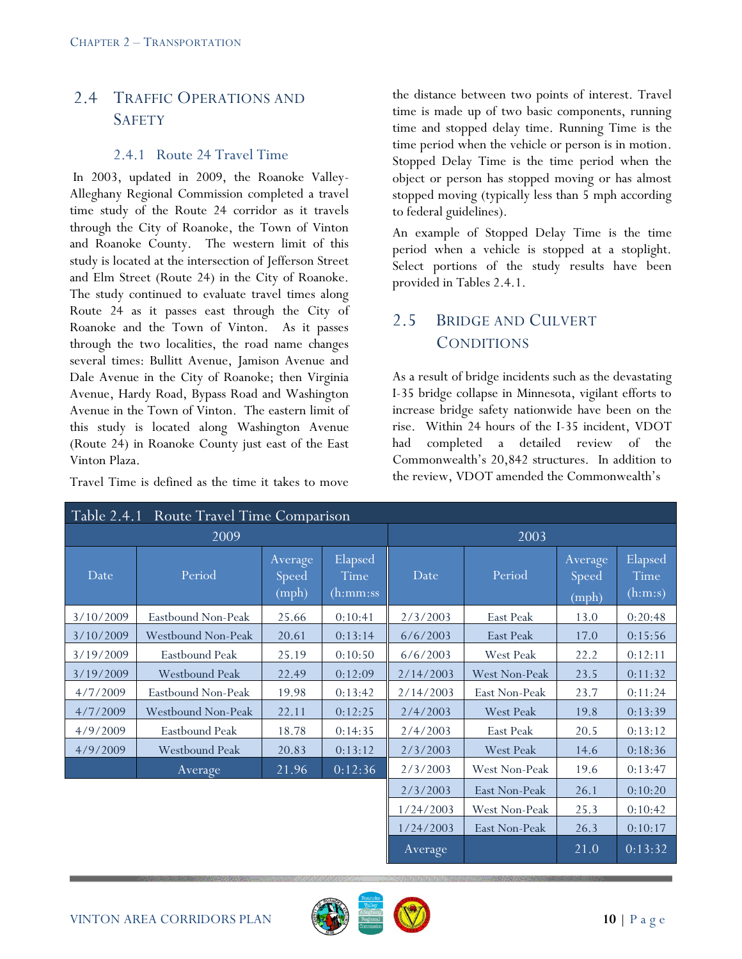# 2.4 TRAFFIC OPERATIONS AND SAFETY

#### 2.4.1 Route 24 Travel Time

In 2003, updated in 2009, the Roanoke Valley-Alleghany Regional Commission completed a travel time study of the Route 24 corridor as it travels through the City of Roanoke, the Town of Vinton and Roanoke County. The western limit of this study is located at the intersection of Jefferson Street and Elm Street (Route 24) in the City of Roanoke. The study continued to evaluate travel times along Route 24 as it passes east through the City of Roanoke and the Town of Vinton. As it passes through the two localities, the road name changes several times: Bullitt Avenue, Jamison Avenue and Dale Avenue in the City of Roanoke; then Virginia Avenue, Hardy Road, Bypass Road and Washington Avenue in the Town of Vinton. The eastern limit of this study is located along Washington Avenue (Route 24) in Roanoke County just east of the East Vinton Plaza.

Travel Time is defined as the time it takes to move

the distance between two points of interest. Travel time is made up of two basic components, running time and stopped delay time. Running Time is the time period when the vehicle or person is in motion. Stopped Delay Time is the time period when the object or person has stopped moving or has almost stopped moving (typically less than 5 mph according to federal guidelines).

An example of Stopped Delay Time is the time period when a vehicle is stopped at a stoplight. Select portions of the study results have been provided in Tables 2.4.1.

# 2.5 BRIDGE AND CULVERT **CONDITIONS**

As a result of bridge incidents such as the devastating I-35 bridge collapse in Minnesota, vigilant efforts to increase bridge safety nationwide have been on the rise. Within 24 hours of the I-35 incident, VDOT had completed a detailed review of the Commonwealth"s 20,842 structures. In addition to the review, VDOT amended the Commonwealth"s

| <b>Route Travel Time Comparison</b><br>Table 2.4.1 |                       |                           |                             |                |                  |                           |                            |  |
|----------------------------------------------------|-----------------------|---------------------------|-----------------------------|----------------|------------------|---------------------------|----------------------------|--|
|                                                    | 2009                  | 2003                      |                             |                |                  |                           |                            |  |
| Date                                               | Period                | Average<br>Speed<br>(mph) | Elapsed<br>Time<br>(h:mm:ss | Period<br>Date |                  | Average<br>Speed<br>(mph) | Elapsed<br>Time<br>(h:m:s) |  |
| 3/10/2009                                          | Eastbound Non-Peak    | 25.66                     | 0:10:41                     | 2/3/2003       | East Peak        | 13.0                      | 0:20:48                    |  |
| 3/10/2009                                          | Westbound Non-Peak    | 20.61                     | 0:13:14                     | 6/6/2003       | East Peak        | 17.0                      | 0:15:56                    |  |
| 3/19/2009                                          | Eastbound Peak        | 25.19                     | 0:10:50                     | 6/6/2003       | West Peak        | 22.2                      | 0:12:11                    |  |
| 3/19/2009                                          | <b>Westbound Peak</b> | 22.49                     | 0:12:09                     | 2/14/2003      | West Non-Peak    | 23.5                      | 0:11:32                    |  |
| 4/7/2009                                           | Eastbound Non-Peak    | 19.98                     | 0:13:42                     | 2/14/2003      | East Non-Peak    | 23.7                      | 0:11:24                    |  |
| 4/7/2009                                           | Westbound Non-Peak    | 22.11                     | 0:12:25                     | 2/4/2003       | West Peak        | 19.8                      | 0:13:39                    |  |
| 4/9/2009                                           | Eastbound Peak        | 18.78                     | 0:14:35                     | 2/4/2003       | East Peak        | 20.5                      | 0:13:12                    |  |
| 4/9/2009                                           | <b>Westbound Peak</b> | 20.83                     | 0:13:12                     | 2/3/2003       | <b>West Peak</b> | 14.6                      | 0:18:36                    |  |
|                                                    | Average               | 21.96                     | 0:12:36                     | 2/3/2003       | West Non-Peak    | 19.6                      | 0:13:47                    |  |
|                                                    |                       |                           |                             | 2/3/2003       | East Non-Peak    | 26.1                      | 0:10:20                    |  |
|                                                    |                       | 1/24/2003                 | West Non-Peak               | 25.3           | 0:10:42          |                           |                            |  |
|                                                    |                       |                           | 1/24/2003                   | East Non-Peak  | 26.3             | 0:10:17                   |                            |  |
|                                                    |                       |                           |                             | Average        |                  | 21.0                      | 0:13:32                    |  |

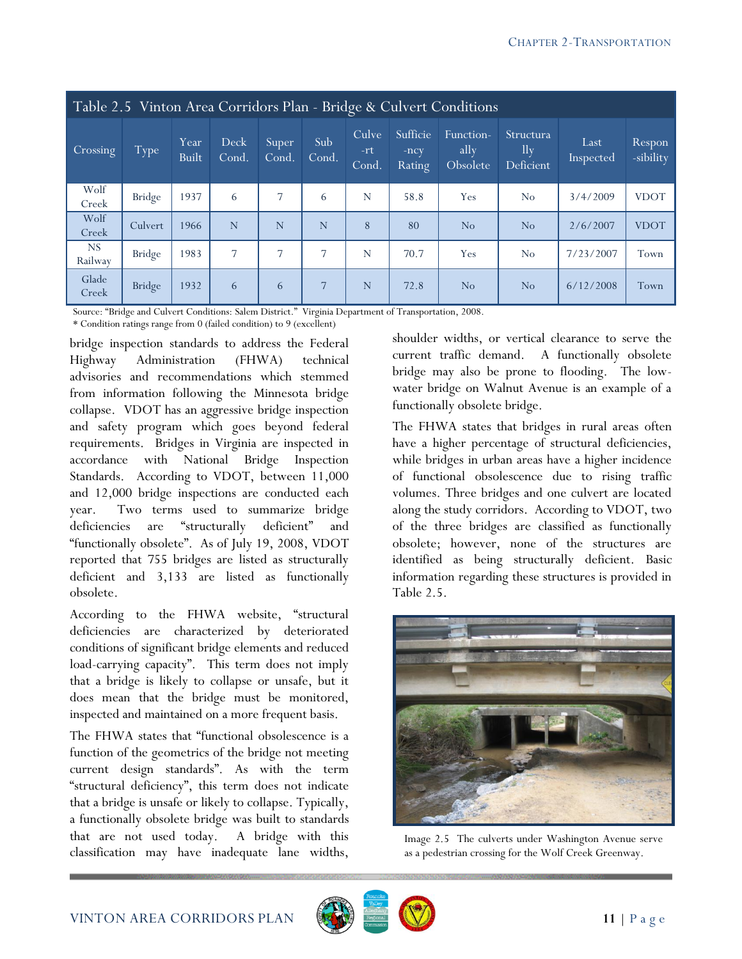| Table 2.5 Vinton Area Corridors Plan - Bridge & Culvert Conditions |               |               |               |                |                |                       |                              |                               |                                         |                   |                     |
|--------------------------------------------------------------------|---------------|---------------|---------------|----------------|----------------|-----------------------|------------------------------|-------------------------------|-----------------------------------------|-------------------|---------------------|
| Crossing                                                           | Type          | Year<br>Built | Deck<br>Cond. | Super<br>Cond. | Sub<br>Cond.   | Culve<br>-rt<br>Cond. | Sufficie<br>$-ncy$<br>Rating | Function-<br>ally<br>Obsolete | Structura<br>$\mathbf{ll}$<br>Deficient | Last<br>Inspected | Respon<br>-sibility |
| Wolf<br>Creek                                                      | Bridge        | 1937          | 6             | 7              | 6              | N                     | 58.8                         | Yes                           | No                                      | 3/4/2009          | <b>VDOT</b>         |
| Wolf<br>Creek                                                      | Culvert       | 1966          | N             | N              | N              | 8                     | 80                           | No                            | No                                      | 2/6/2007          | <b>VDOT</b>         |
| <b>NS</b><br>Railway                                               | Bridge        | 1983          | 7             | $\overline{7}$ | $\overline{7}$ | N                     | 70.7                         | Yes                           | No                                      | 7/23/2007         | Town                |
| Glade<br>Creek                                                     | <b>Bridge</b> | 1932          | 6             | 6              | $\overline{7}$ | N                     | 72.8                         | No                            | No                                      | 6/12/2008         | Town                |

Source: "Bridge and Culvert Conditions: Salem District." Virginia Department of Transportation, 2008.

\* Condition ratings range from 0 (failed condition) to 9 (excellent)

bridge inspection standards to address the Federal Highway Administration (FHWA) technical advisories and recommendations which stemmed from information following the Minnesota bridge collapse. VDOT has an aggressive bridge inspection and safety program which goes beyond federal requirements. Bridges in Virginia are inspected in accordance with National Bridge Inspection Standards. According to VDOT, between 11,000 and 12,000 bridge inspections are conducted each year. Two terms used to summarize bridge deficiencies are "structurally deficient" and "functionally obsolete". As of July 19, 2008, VDOT reported that 755 bridges are listed as structurally deficient and 3,133 are listed as functionally obsolete.

According to the FHWA website, "structural deficiencies are characterized by deteriorated conditions of significant bridge elements and reduced load-carrying capacity". This term does not imply that a bridge is likely to collapse or unsafe, but it does mean that the bridge must be monitored, inspected and maintained on a more frequent basis.

The FHWA states that "functional obsolescence is a function of the geometrics of the bridge not meeting current design standards". As with the term "structural deficiency", this term does not indicate that a bridge is unsafe or likely to collapse. Typically, a functionally obsolete bridge was built to standards that are not used today. A bridge with this classification may have inadequate lane widths,

shoulder widths, or vertical clearance to serve the current traffic demand. A functionally obsolete bridge may also be prone to flooding. The lowwater bridge on Walnut Avenue is an example of a functionally obsolete bridge.

The FHWA states that bridges in rural areas often have a higher percentage of structural deficiencies, while bridges in urban areas have a higher incidence of functional obsolescence due to rising traffic volumes. Three bridges and one culvert are located along the study corridors. According to VDOT, two of the three bridges are classified as functionally obsolete; however, none of the structures are identified as being structurally deficient. Basic information regarding these structures is provided in Table 2.5.



Image 2.5 The culverts under Washington Avenue serve as a pedestrian crossing for the Wolf Creek Greenway.

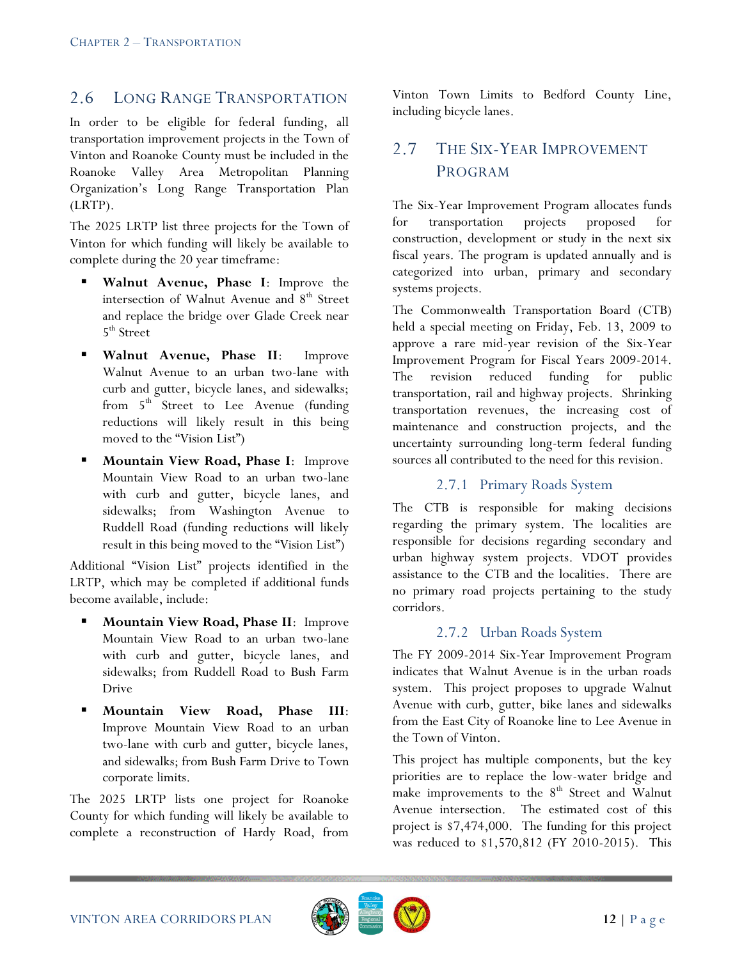# 2.6 LONG RANGE TRANSPORTATION

In order to be eligible for federal funding, all transportation improvement projects in the Town of Vinton and Roanoke County must be included in the Roanoke Valley Area Metropolitan Planning Organization"s Long Range Transportation Plan (LRTP).

The 2025 LRTP list three projects for the Town of Vinton for which funding will likely be available to complete during the 20 year timeframe:

- **Walnut Avenue, Phase I**: Improve the intersection of Walnut Avenue and 8<sup>th</sup> Street and replace the bridge over Glade Creek near 5<sup>th</sup> Street
- **Walnut Avenue, Phase II**: Improve Walnut Avenue to an urban two-lane with curb and gutter, bicycle lanes, and sidewalks; from  $5<sup>th</sup>$  Street to Lee Avenue (funding reductions will likely result in this being moved to the "Vision List")
- **Mountain View Road, Phase I**: Improve Mountain View Road to an urban two-lane with curb and gutter, bicycle lanes, and sidewalks; from Washington Avenue to Ruddell Road (funding reductions will likely result in this being moved to the "Vision List")

Additional "Vision List" projects identified in the LRTP, which may be completed if additional funds become available, include:

- **Mountain View Road, Phase II**: Improve Mountain View Road to an urban two-lane with curb and gutter, bicycle lanes, and sidewalks; from Ruddell Road to Bush Farm Drive
- **Mountain View Road, Phase III**: Improve Mountain View Road to an urban two-lane with curb and gutter, bicycle lanes, and sidewalks; from Bush Farm Drive to Town corporate limits.

The 2025 LRTP lists one project for Roanoke County for which funding will likely be available to complete a reconstruction of Hardy Road, from

Vinton Town Limits to Bedford County Line, including bicycle lanes.

# 2.7 THE SIX-YEAR IMPROVEMENT PROGRAM

The Six-Year Improvement Program allocates funds for transportation projects proposed for construction, development or study in the next six fiscal years. The program is updated annually and is categorized into urban, primary and secondary systems projects.

The Commonwealth Transportation Board (CTB) held a special meeting on Friday, Feb. 13, 2009 to approve a rare mid-year revision of the Six-Year Improvement Program for Fiscal Years 2009-2014. The revision reduced funding for public transportation, rail and highway projects. Shrinking transportation revenues, the increasing cost of maintenance and construction projects, and the uncertainty surrounding long-term federal funding sources all contributed to the need for this revision.

### 2.7.1 Primary Roads System

The CTB is responsible for making decisions regarding the primary system. The localities are responsible for decisions regarding secondary and urban highway system projects. VDOT provides assistance to the CTB and the localities. There are no primary road projects pertaining to the study corridors.

#### 2.7.2 Urban Roads System

The FY 2009-2014 Six-Year Improvement Program indicates that Walnut Avenue is in the urban roads system. This project proposes to upgrade Walnut Avenue with curb, gutter, bike lanes and sidewalks from the East City of Roanoke line to Lee Avenue in the Town of Vinton.

This project has multiple components, but the key priorities are to replace the low-water bridge and make improvements to the  $8<sup>th</sup>$  Street and Walnut Avenue intersection. The estimated cost of this project is \$7,474,000. The funding for this project was reduced to \$1,570,812 (FY 2010-2015). This

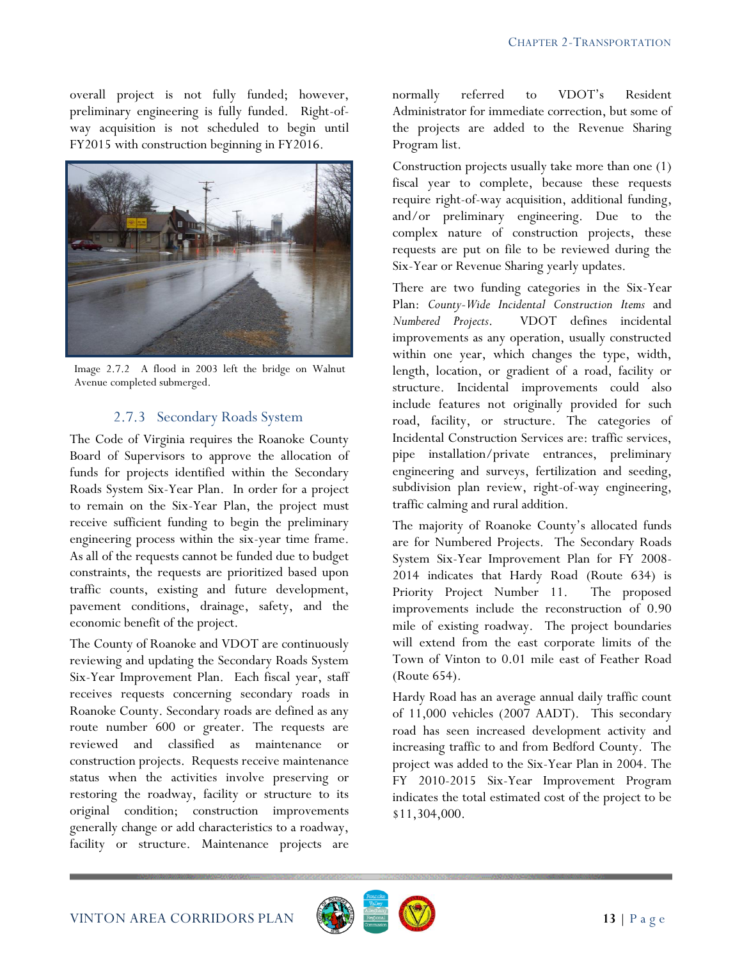overall project is not fully funded; however, preliminary engineering is fully funded. Right-ofway acquisition is not scheduled to begin until FY2015 with construction beginning in FY2016.



Image 2.7.2 A flood in 2003 left the bridge on Walnut Avenue completed submerged.

### 2.7.3 Secondary Roads System

The Code of Virginia requires the Roanoke County Board of Supervisors to approve the allocation of funds for projects identified within the Secondary Roads System Six-Year Plan. In order for a project to remain on the Six-Year Plan, the project must receive sufficient funding to begin the preliminary engineering process within the six-year time frame. As all of the requests cannot be funded due to budget constraints, the requests are prioritized based upon traffic counts, existing and future development, pavement conditions, drainage, safety, and the economic benefit of the project.

The County of Roanoke and VDOT are continuously reviewing and updating the Secondary Roads System Six-Year Improvement Plan. Each fiscal year, staff receives requests concerning secondary roads in Roanoke County. Secondary roads are defined as any route number 600 or greater. The requests are reviewed and classified as maintenance or construction projects. Requests receive maintenance status when the activities involve preserving or restoring the roadway, facility or structure to its original condition; construction improvements generally change or add characteristics to a roadway, facility or structure. Maintenance projects are

normally referred to VDOT"s Resident Administrator for immediate correction, but some of the projects are added to the Revenue Sharing Program list.

Construction projects usually take more than one (1) fiscal year to complete, because these requests require right-of-way acquisition, additional funding, and/or preliminary engineering. Due to the complex nature of construction projects, these requests are put on file to be reviewed during the Six-Year or Revenue Sharing yearly updates.

There are two funding categories in the Six-Year Plan: *County-Wide Incidental Construction Items* and *Numbered Projects*. VDOT defines incidental improvements as any operation, usually constructed within one year, which changes the type, width, length, location, or gradient of a road, facility or structure. Incidental improvements could also include features not originally provided for such road, facility, or structure. The categories of Incidental Construction Services are: traffic services, pipe installation/private entrances, preliminary engineering and surveys, fertilization and seeding, subdivision plan review, right-of-way engineering, traffic calming and rural addition.

The majority of Roanoke County's allocated funds are for Numbered Projects. The Secondary Roads System Six-Year Improvement Plan for FY 2008- 2014 indicates that Hardy Road (Route 634) is Priority Project Number 11. The proposed improvements include the reconstruction of 0.90 mile of existing roadway. The project boundaries will extend from the east corporate limits of the Town of Vinton to 0.01 mile east of Feather Road (Route 654).

Hardy Road has an average annual daily traffic count of 11,000 vehicles (2007 AADT). This secondary road has seen increased development activity and increasing traffic to and from Bedford County. The project was added to the Six-Year Plan in 2004. The FY 2010-2015 Six-Year Improvement Program indicates the total estimated cost of the project to be \$11,304,000.

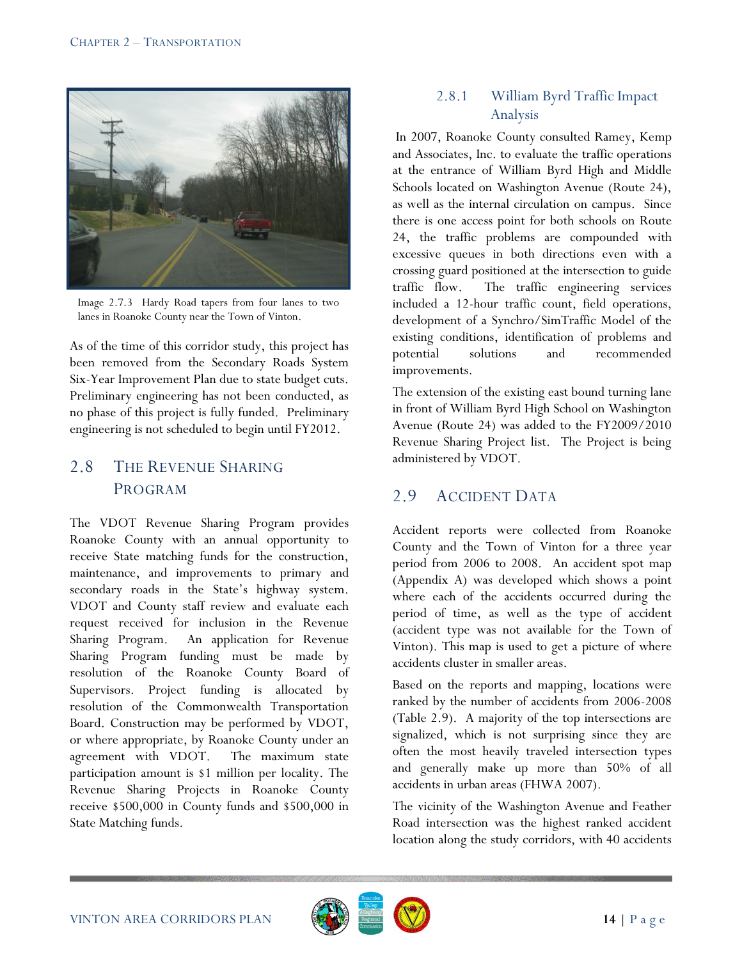

Image 2.7.3 Hardy Road tapers from four lanes to two lanes in Roanoke County near the Town of Vinton.

As of the time of this corridor study, this project has been removed from the Secondary Roads System Six-Year Improvement Plan due to state budget cuts. Preliminary engineering has not been conducted, as no phase of this project is fully funded. Preliminary engineering is not scheduled to begin until FY2012.

# 2.8 THE REVENUE SHARING PROGRAM

The VDOT Revenue Sharing Program provides Roanoke County with an annual opportunity to receive State matching funds for the construction, maintenance, and improvements to primary and secondary roads in the State's highway system. VDOT and County staff review and evaluate each request received for inclusion in the Revenue Sharing Program. An application for Revenue Sharing Program funding must be made by resolution of the Roanoke County Board of Supervisors. Project funding is allocated by resolution of the Commonwealth Transportation Board. Construction may be performed by VDOT, or where appropriate, by Roanoke County under an agreement with VDOT. The maximum state participation amount is \$1 million per locality. The Revenue Sharing Projects in Roanoke County receive \$500,000 in County funds and \$500,000 in State Matching funds.

### 2.8.1 William Byrd Traffic Impact Analysis

In 2007, Roanoke County consulted Ramey, Kemp and Associates, Inc. to evaluate the traffic operations at the entrance of William Byrd High and Middle Schools located on Washington Avenue (Route 24), as well as the internal circulation on campus. Since there is one access point for both schools on Route 24, the traffic problems are compounded with excessive queues in both directions even with a crossing guard positioned at the intersection to guide traffic flow. The traffic engineering services included a 12-hour traffic count, field operations, development of a Synchro/SimTraffic Model of the existing conditions, identification of problems and potential solutions and recommended improvements.

The extension of the existing east bound turning lane in front of William Byrd High School on Washington Avenue (Route 24) was added to the FY2009/2010 Revenue Sharing Project list. The Project is being administered by VDOT.

# 2.9 ACCIDENT DATA

Accident reports were collected from Roanoke County and the Town of Vinton for a three year period from 2006 to 2008. An accident spot map (Appendix A) was developed which shows a point where each of the accidents occurred during the period of time, as well as the type of accident (accident type was not available for the Town of Vinton). This map is used to get a picture of where accidents cluster in smaller areas.

Based on the reports and mapping, locations were ranked by the number of accidents from 2006-2008 (Table 2.9). A majority of the top intersections are signalized, which is not surprising since they are often the most heavily traveled intersection types and generally make up more than 50% of all accidents in urban areas (FHWA 2007).

The vicinity of the Washington Avenue and Feather Road intersection was the highest ranked accident location along the study corridors, with 40 accidents

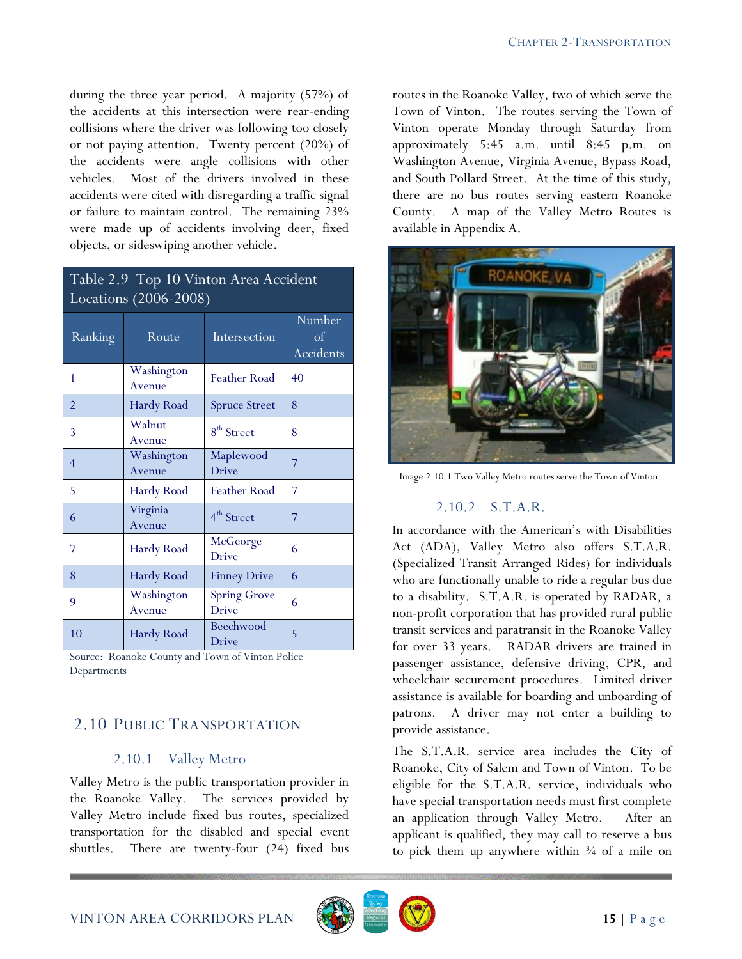during the three year period. A majority (57%) of the accidents at this intersection were rear-ending collisions where the driver was following too closely or not paying attention. Twenty percent (20%) of the accidents were angle collisions with other vehicles. Most of the drivers involved in these accidents were cited with disregarding a traffic signal or failure to maintain control. The remaining 23% were made up of accidents involving deer, fixed objects, or sideswiping another vehicle.

| Table 2.9 Top 10 Vinton Area Accident |
|---------------------------------------|
| Locations (2006-2008)                 |

| Ranking        | Route                | Intersection                        | Number<br>$\sigma$<br>Accidents |
|----------------|----------------------|-------------------------------------|---------------------------------|
| 1              | Washington<br>Avenue | Feather Road                        | 40                              |
| $\overline{2}$ | Hardy Road           | <b>Spruce Street</b>                | 8                               |
| 3              | Walnut<br>Avenue     | 8 <sup>th</sup> Street              | 8                               |
| $\overline{4}$ | Washington<br>Avenue | Maplewood<br><b>Drive</b>           | 7                               |
| 5              | Hardy Road           | <b>Feather Road</b>                 | 7                               |
| 6              | Virginia<br>Avenue   | 4 <sup>th</sup> Street              | 7                               |
| 7              | Hardy Road           | McGeorge<br><b>Drive</b>            | 6                               |
| 8              | Hardy Road           | <b>Finney Drive</b>                 | 6                               |
| 9              | Washington<br>Avenue | <b>Spring Grove</b><br><b>Drive</b> | 6                               |
| 10             | Hardy Road           | Beechwood<br>Drive                  | 5                               |

Source: Roanoke County and Town of Vinton Police Departments

# 2.10 PUBLIC TRANSPORTATION

### 2.10.1 Valley Metro

Valley Metro is the public transportation provider in the Roanoke Valley. The services provided by Valley Metro include fixed bus routes, specialized transportation for the disabled and special event shuttles. There are twenty-four (24) fixed bus routes in the Roanoke Valley, two of which serve the Town of Vinton. The routes serving the Town of Vinton operate Monday through Saturday from approximately 5:45 a.m. until 8:45 p.m. on Washington Avenue, Virginia Avenue, Bypass Road, and South Pollard Street. At the time of this study, there are no bus routes serving eastern Roanoke County. A map of the Valley Metro Routes is available in Appendix A.



Image 2.10.1 Two Valley Metro routes serve the Town of Vinton.

#### 2.10.2 S.T.A.R.

In accordance with the American"s with Disabilities Act (ADA), Valley Metro also offers S.T.A.R. (Specialized Transit Arranged Rides) for individuals who are functionally unable to ride a regular bus due to a disability. S.T.A.R. is operated by RADAR, a non-profit corporation that has provided rural public transit services and paratransit in the Roanoke Valley for over 33 years. RADAR drivers are trained in passenger assistance, defensive driving, CPR, and wheelchair securement procedures. Limited driver assistance is available for boarding and unboarding of patrons. A driver may not enter a building to provide assistance.

The S.T.A.R. service area includes the City of Roanoke, City of Salem and Town of Vinton. To be eligible for the S.T.A.R. service, individuals who have special transportation needs must first complete an application through Valley Metro. After an applicant is qualified, they may call to reserve a bus to pick them up anywhere within  $\frac{3}{4}$  of a mile on